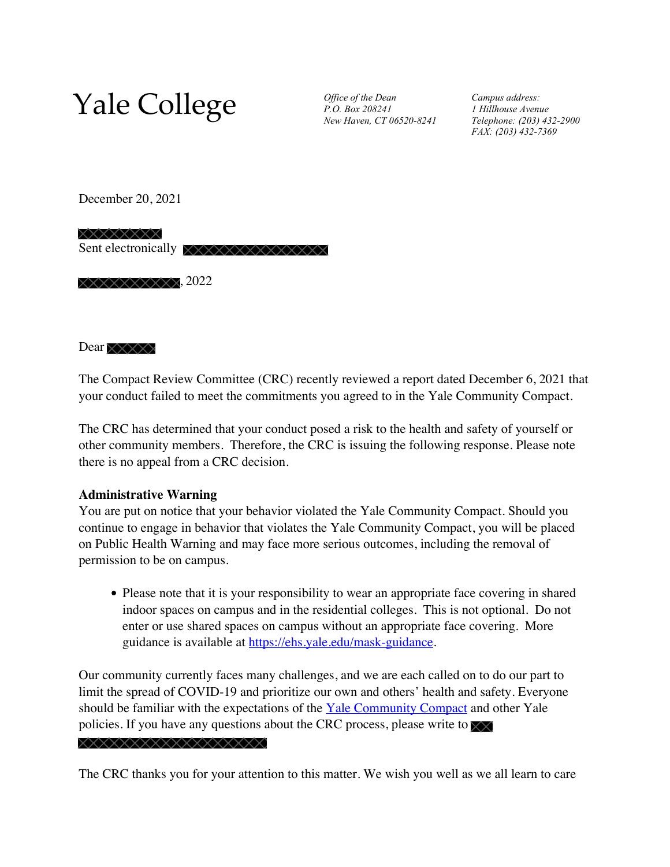## Yale College *Office of the Dean*

*P.O. Box 208241 New Haven, CT 06520-8241* *Campus address: 1 Hillhouse Avenue Telephone: (203) 432-2900 FAX: (203) 432-7369*

December 20, 2021

XXXXXXXX Sent electronically XXXXXXXXXXXXX

 $\left\langle \times \times \times \times \times \times \times \right\rangle$  2022

Dear  $\times \times \times \times \times$ 

The Compact Review Committee (CRC) recently reviewed a report dated December 6, 2021 that your conduct failed to meet the commitments you agreed to in the Yale Community Compact.

The CRC has determined that your conduct posed a risk to the health and safety of yourself or other community members. Therefore, the CRC is issuing the following response. Please note there is no appeal from a CRC decision.

## **Administrative Warning**

XXXXXXXXXXXXXXXXX

You are put on notice that your behavior violated the Yale Community Compact. Should you continue to engage in behavior that violates the Yale Community Compact, you will be placed on Public Health Warning and may face more serious outcomes, including the removal of permission to be on campus.

• Please note that it is your responsibility to wear an appropriate face covering in shared indoor spaces on campus and in the residential colleges. This is not optional. Do not enter or use shared spaces on campus without an appropriate face covering. More guidance is available at [https://ehs.yale.edu/mask-guidance.](https://ehs.yale.edu/mask-guidance)

Our community currently faces many challenges, and we are each called on to do our part to limit the spread of COVID-19 and prioritize our own and others' health and safety. Everyone should be familiar with the expectations of the  $Yale Community Compact$  $Yale Community Compact$  $Yale Community Compact$  and other Yale</u> policies. If you have any questions about the CRC process, please write to  $\chi\chi$ 

The CRC thanks you for your attention to this matter. We wish you well as we all learn to care